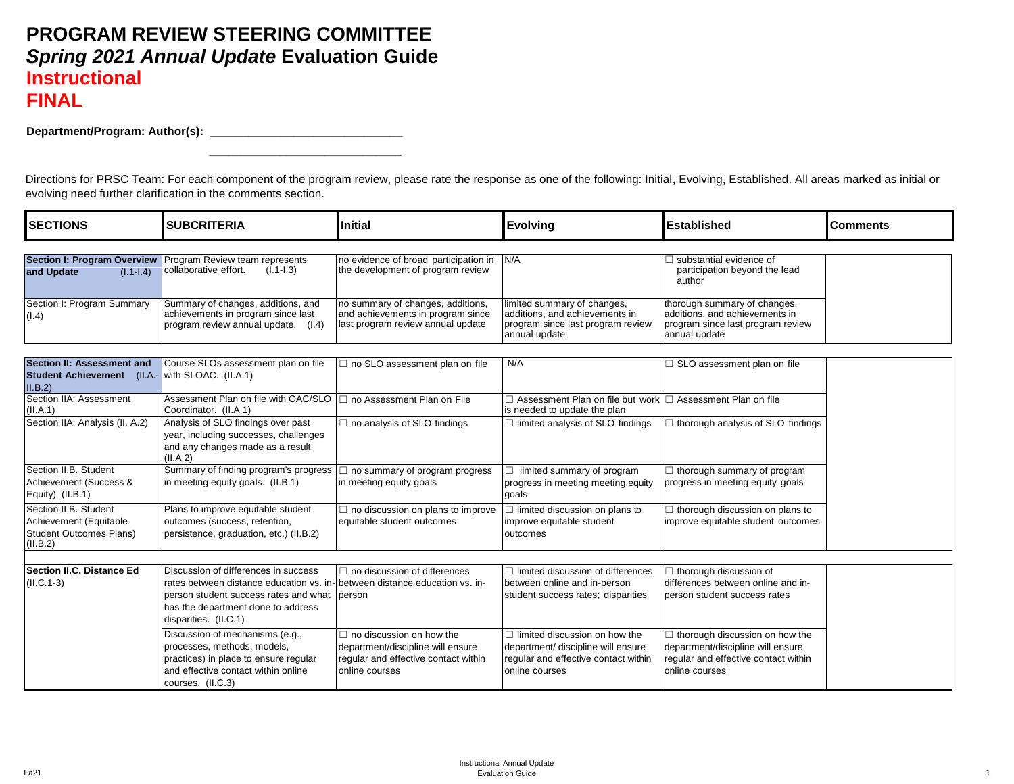## **PROGRAM REVIEW STEERING COMMITTEE** *Spring 2021 Annual Update* **Evaluation Guide Instructional FINAL**

processes, methods, models, practices) in place to ensure regular and effective contact within online

courses. (II.C.3)

 **\_\_\_\_\_\_\_\_\_\_\_\_\_\_\_\_\_\_\_\_\_\_\_\_\_\_\_\_\_\_**

Department/Program: Author(s): **\_\_\_\_\_\_\_\_\_\_\_\_\_\_\_\_\_\_\_\_\_\_\_\_\_\_\_\_\_\_\_\_\_\_** 

Directions for PRSC Team: For each component of the program review, please rate the response as one of the following: Initial, Evolving, Established. All areas marked as initial or evolving need further clarification in the comments section.

| <b>SECTIONS</b>                                                                                  | <b>SUBCRITERIA</b>                                                                                                                                                                                                                 | <b>Initial</b>                                                                                              | <b>Evolving</b>                                                                                                     | <b>Established</b>                                                                                                   | <b>Comments</b> |
|--------------------------------------------------------------------------------------------------|------------------------------------------------------------------------------------------------------------------------------------------------------------------------------------------------------------------------------------|-------------------------------------------------------------------------------------------------------------|---------------------------------------------------------------------------------------------------------------------|----------------------------------------------------------------------------------------------------------------------|-----------------|
|                                                                                                  |                                                                                                                                                                                                                                    |                                                                                                             |                                                                                                                     |                                                                                                                      |                 |
| <b>Section I: Program Overview</b><br>$(I.1-I.4)$<br>and Update                                  | Program Review team represents<br>collaborative effort.<br>$(I.1-I.3)$                                                                                                                                                             | no evidence of broad participation in<br>the development of program review                                  | N/A                                                                                                                 | substantial evidence of<br>participation beyond the lead<br>author                                                   |                 |
| Section I: Program Summary<br>(1.4)                                                              | Summary of changes, additions, and<br>achievements in program since last<br>program review annual update.<br>(1.4)                                                                                                                 | no summary of changes, additions,<br>and achievements in program since<br>last program review annual update | limited summary of changes,<br>additions, and achievements in<br>program since last program review<br>annual update | thorough summary of changes,<br>additions, and achievements in<br>program since last program review<br>annual update |                 |
| <b>Section II: Assessment and</b><br>Student Achievement (II.A.- with SLOAC. (II.A.1)<br>II.B.2) | Course SLOs assessment plan on file                                                                                                                                                                                                | $\Box$ no SLO assessment plan on file                                                                       | N/A                                                                                                                 | $\Box$ SLO assessment plan on file                                                                                   |                 |
| Section IIA: Assessment<br>(II.A.1)                                                              | Assessment Plan on file with OAC/SLO<br>Coordinator. (II.A.1)                                                                                                                                                                      | □ no Assessment Plan on File                                                                                | $\Box$ Assessment Plan on file but work $\Box$ Assessment Plan on file<br>is needed to update the plan              |                                                                                                                      |                 |
| Section IIA: Analysis (II. A.2)                                                                  | Analysis of SLO findings over past<br>year, including successes, challenges<br>and any changes made as a result.<br>(II.A.2)                                                                                                       | $\Box$ no analysis of SLO findings                                                                          | $\Box$ limited analysis of SLO findings                                                                             | $\Box$ thorough analysis of SLO findings                                                                             |                 |
| Section II.B. Student<br>Achievement (Success &<br>Equity) (II.B.1)                              | Summary of finding program's progress<br>in meeting equity goals. (II.B.1)                                                                                                                                                         | $\Box$ no summary of program progress<br>in meeting equity goals                                            | $\Box$ limited summary of program<br>progress in meeting meeting equity<br>goals                                    | $\Box$ thorough summary of program<br>progress in meeting equity goals                                               |                 |
| Section II.B. Student<br>Achievement (Equitable<br><b>Student Outcomes Plans)</b><br>(II.B.2)    | Plans to improve equitable student<br>outcomes (success, retention,<br>persistence, graduation, etc.) (II.B.2)                                                                                                                     | $\Box$ no discussion on plans to improve<br>equitable student outcomes                                      | $\Box$ limited discussion on plans to<br>improve equitable student<br>outcomes                                      | $\Box$ thorough discussion on plans to<br>improve equitable student outcomes                                         |                 |
|                                                                                                  |                                                                                                                                                                                                                                    |                                                                                                             |                                                                                                                     |                                                                                                                      |                 |
| <b>Section II.C. Distance Ed</b><br>$(II.C.1-3)$                                                 | Discussion of differences in success<br>rates between distance education vs. in- between distance education vs. in-<br>person student success rates and what person<br>has the department done to address<br>disparities. (II.C.1) | $\Box$ no discussion of differences                                                                         | $\Box$ limited discussion of differences<br>between online and in-person<br>student success rates; disparities      | $\Box$ thorough discussion of<br>differences between online and in-<br>person student success rates                  |                 |
|                                                                                                  | Discussion of mechanisms (e.g.,                                                                                                                                                                                                    | $\Box$ no discussion on how the                                                                             | $\Box$ limited discussion on how the                                                                                | $\Box$ thorough discussion on how the                                                                                |                 |

department/ discipline will ensure regular and effective contact within

department/discipline will ensure regular and effective contact within

online courses

online courses

department/discipline will ensure regular and effective contact within

online courses